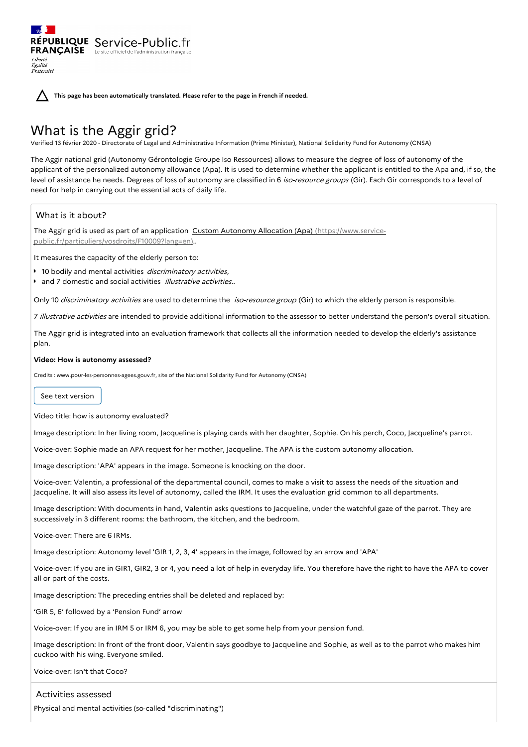**This page has been automatically translated. Please refer to the page in French if needed.**

# What is the Aggir grid?

RÉPUBLIQUE Service-Public.fr **FRANÇAISE** Le site officiel de l'administration fran

Verified 13 février 2020 - Directorate of Legal and Administrative Information (Prime Minister), National Solidarity Fund for Autonomy (CNSA)

The Aggir national grid (Autonomy Gérontologie Groupe Iso Ressources) allows to measure the degree of loss of autonomy of the applicant of the personalized autonomy allowance (Apa). It is used to determine whether the applicant is entitled to the Apa and, if so, the level of assistance he needs. Degrees of loss of autonomy are classified in 6 iso-resource groups (Gir). Each Gir corresponds to a level of need for help in carrying out the essential acts of daily life.

## What is it about?

Liberté Égalité Fraternité

The Aggir grid is used as part of an application Custom Autonomy Allocation (Apa) (https://www.service[public.fr/particuliers/vosdroits/F10009?lang=en\)..](https://www.service-public.fr/particuliers/vosdroits/F10009?lang=en)

It measures the capacity of the elderly person to:

- 10 bodily and mental activities *discriminatory activities*,
- and 7 domestic and social activities *illustrative activities.*.

Only 10 discriminatory activities are used to determine the iso-resource group (Gir) to which the elderly person is responsible.

7 illustrative activities are intended to provide additional information to the assessor to better understand the person's overall situation.

The Aggir grid is integrated into an evaluation framework that collects all the information needed to develop the elderly's assistance plan.

#### **Video: How is autonomy assessed?**

Credits : www.pour-les-personnes-agees.gouv.fr, site of the National Solidarity Fund for Autonomy (CNSA)

See text version

Video title: how is autonomy evaluated?

Image description: In her living room, Jacqueline is playing cards with her daughter, Sophie. On his perch, Coco, Jacqueline's parrot.

Voice-over: Sophie made an APA request for her mother, Jacqueline. The APA is the custom autonomy allocation.

Image description: 'APA' appears in the image. Someone is knocking on the door.

Voice-over: Valentin, a professional of the departmental council, comes to make a visit to assess the needs of the situation and Jacqueline. It will also assess its level of autonomy, called the IRM. It uses the evaluation grid common to all departments.

Image description: With documents in hand, Valentin asks questions to Jacqueline, under the watchful gaze of the parrot. They are successively in 3 different rooms: the bathroom, the kitchen, and the bedroom.

Voice-over: There are 6 IRMs.

Image description: Autonomy level 'GIR 1, 2, 3, 4' appears in the image, followed by an arrow and 'APA'

Voice-over: If you are in GIR1, GIR2, 3 or 4, you need a lot of help in everyday life. You therefore have the right to have the APA to cover all or part of the costs.

Image description: The preceding entries shall be deleted and replaced by:

'GIR 5, 6' followed by a 'Pension Fund' arrow

Voice-over: If you are in IRM 5 or IRM 6, you may be able to get some help from your pension fund.

Image description: In front of the front door, Valentin says goodbye to Jacqueline and Sophie, as well as to the parrot who makes him cuckoo with his wing. Everyone smiled.

Voice-over: Isn't that Coco?

Activities assessed

Physical and mental activities (so-called "discriminating")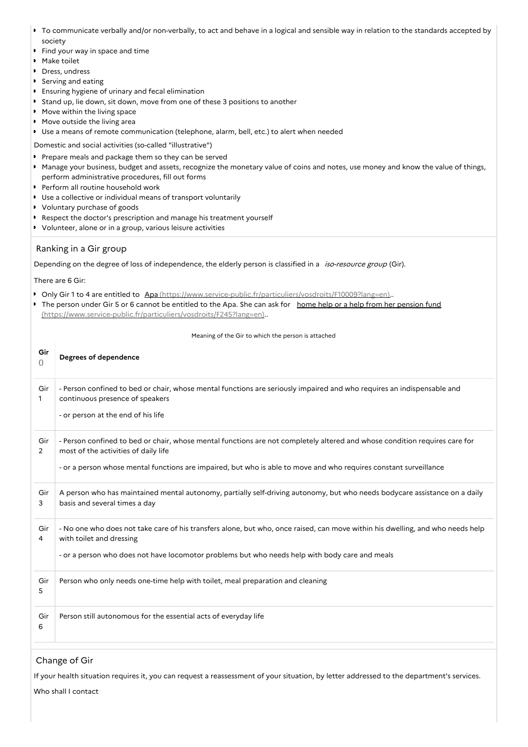- To communicate verbally and/or non-verbally, to act and behave in a logical and sensible way in relation to the standards accepted by society
- Find your way in space and time  $\bullet$
- Make toilet
- **Dress**, undress
- Serving and eating
- Ensuring hygiene of urinary and fecal elimination
- **Stand up, lie down, sit down, move from one of these 3 positions to another**
- **Move within the living space**
- **Move outside the living area**
- Use a means of remote communication (telephone, alarm, bell, etc.) to alert when needed
- Domestic and social activities (so-called "illustrative")
- P Prepare meals and package them so they can be served
- Manage your business, budget and assets, recognize the monetary value of coins and notes, use money and know the value of things, perform administrative procedures, fill out forms
- Perform all routine household work
- Use a collective or individual means of transport voluntarily
- Voluntary purchase of goods
- Respect the doctor's prescription and manage his treatment yourself
- Volunteer, alone or in a group, various leisure activities

### Ranking in a Gir group

Depending on the degree of loss of independence, the elderly person is classified in a iso-resource group (Gir).

There are 6 Gir:

- Only Gir 1 to 4 are entitled to Apa [\(https://www.service-public.fr/particuliers/vosdroits/F10009?lang=en\)](https://www.service-public.fr/particuliers/vosdroits/F10009?lang=en)..
- The person under Gir 5 or 6 cannot be entitled to the Apa. She can ask for home help or a help from her pension fund [\(https://www.service-public.fr/particuliers/vosdroits/F245?lang=en\)..](https://www.service-public.fr/particuliers/vosdroits/F245?lang=en)

Meaning of the Gir to which the person is attached

| Gir<br>$\circ$ | Degrees of dependence                                                                                                                                                                                                                                                                   |
|----------------|-----------------------------------------------------------------------------------------------------------------------------------------------------------------------------------------------------------------------------------------------------------------------------------------|
| Gir<br>1       | - Person confined to bed or chair, whose mental functions are seriously impaired and who requires an indispensable and<br>continuous presence of speakers<br>- or person at the end of his life                                                                                         |
| Gir<br>2       | - Person confined to bed or chair, whose mental functions are not completely altered and whose condition requires care for<br>most of the activities of daily life<br>- or a person whose mental functions are impaired, but who is able to move and who requires constant surveillance |
| Gir<br>3       | A person who has maintained mental autonomy, partially self-driving autonomy, but who needs bodycare assistance on a daily<br>basis and several times a day                                                                                                                             |
| Gir<br>4       | - No one who does not take care of his transfers alone, but who, once raised, can move within his dwelling, and who needs help<br>with toilet and dressing<br>- or a person who does not have locomotor problems but who needs help with body care and meals                            |
| Gir<br>5       | Person who only needs one-time help with toilet, meal preparation and cleaning                                                                                                                                                                                                          |
| Gir<br>6       | Person still autonomous for the essential acts of everyday life                                                                                                                                                                                                                         |

## Change of Gir

If your health situation requires it, you can request a reassessment of your situation, by letter addressed to the department's services.

Who shall I contact